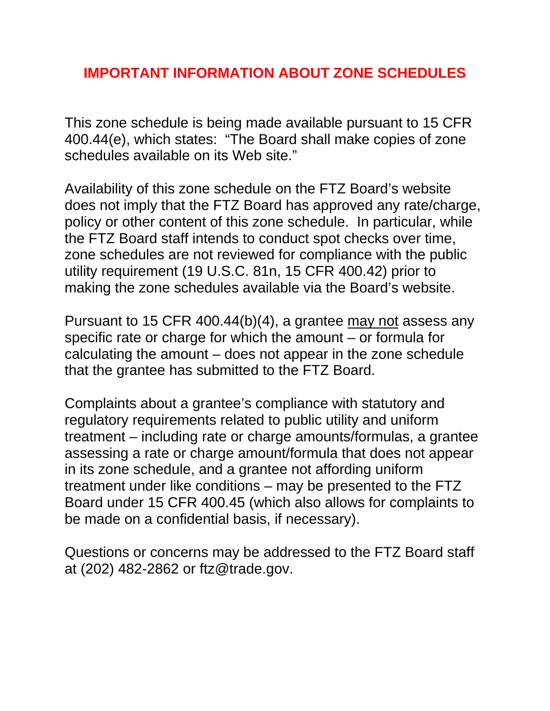# **IMPORTANT INFORMATION ABOUT ZONE SCHEDULES**

This zone schedule is being made available pursuant to 15 CFR 400.44(e), which states: "The Board shall make copies of zone schedules available on its Web site."

Availability of this zone schedule on the FTZ Board's website does not imply that the FTZ Board has approved any rate/charge, policy or other content of this zone schedule. In particular, while the FTZ Board staff intends to conduct spot checks over time, zone schedules are not reviewed for compliance with the public utility requirement (19 U.S.C. 81n, 15 CFR 400.42) prior to making the zone schedules available via the Board's website.

Pursuant to 15 CFR 400.44(b)(4), a grantee may not assess any specific rate or charge for which the amount – or formula for calculating the amount – does not appear in the zone schedule that the grantee has submitted to the FTZ Board.

Complaints about a grantee's compliance with statutory and regulatory requirements related to public utility and uniform treatment – including rate or charge amounts/formulas, a grantee assessing a rate or charge amount/formula that does not appear in its zone schedule, and a grantee not affording uniform treatment under like conditions – may be presented to the FTZ Board under 15 CFR 400.45 (which also allows for complaints to be made on a confidential basis, if necessary).

Questions or concerns may be addressed to the FTZ Board staff at (202) 482-2862 or ftz@trade.gov.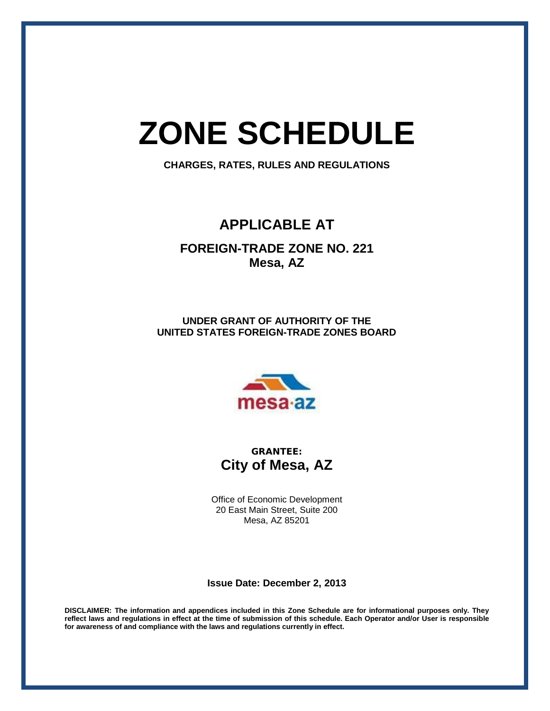# **ZONE SCHEDULE**

**CHARGES, RATES, RULES AND REGULATIONS**

## **APPLICABLE AT**

**FOREIGN-TRADE ZONE NO. 221 Mesa, AZ**

**UNDER GRANT OF AUTHORITY OF THE UNITED STATES FOREIGN-TRADE ZONES BOARD**



**GRANTEE: City of Mesa, AZ**

Office of Economic Development 20 East Main Street, Suite 200 Mesa, AZ 85201

**Issue Date: December 2, 2013**

**DISCLAIMER: The information and appendices included in this Zone Schedule are for informational purposes only. They reflect laws and regulations in effect at the time of submission of this schedule. Each Operator and/or User is responsible for awareness of and compliance with the laws and regulations currently in effect.**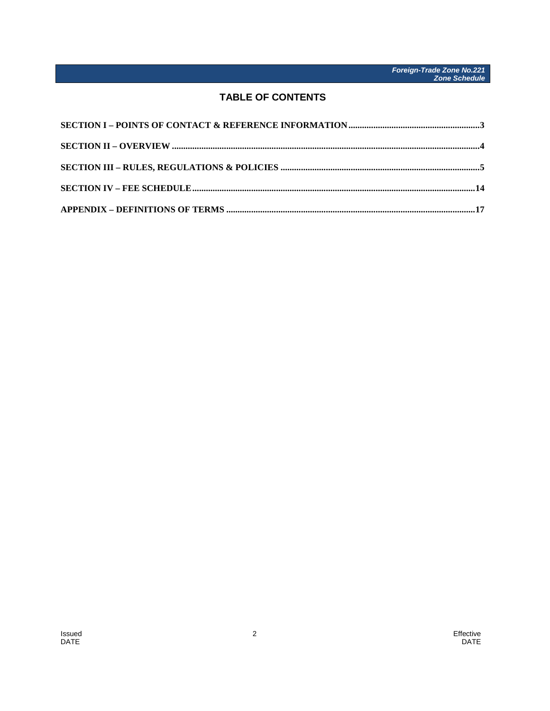### **TABLE OF CONTENTS**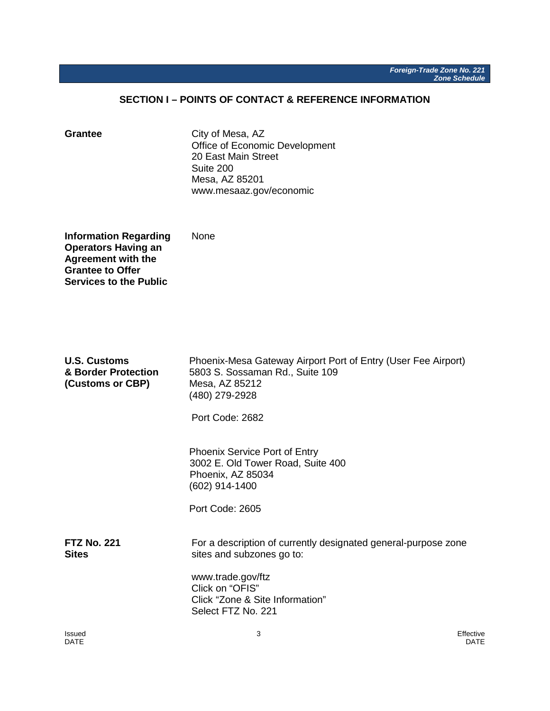#### **SECTION I – POINTS OF CONTACT & REFERENCE INFORMATION**

<span id="page-3-0"></span>Grantee **City of Mesa, AZ** Office of Economic Development 20 East Main Street Suite 200 Mesa, AZ 85201 www.mesaaz.gov/economic

**Information Regarding None Operators Having an Agreement with the Grantee to Offer Services to the Public**

| <b>U.S. Customs</b><br>& Border Protection<br>(Customs or CBP) | Phoenix-Mesa Gateway Airport Port of Entry (User Fee Airport)<br>5803 S. Sossaman Rd., Suite 109<br>Mesa, AZ 85212<br>(480) 279-2928<br>Port Code: 2682                                      |
|----------------------------------------------------------------|----------------------------------------------------------------------------------------------------------------------------------------------------------------------------------------------|
|                                                                | <b>Phoenix Service Port of Entry</b><br>3002 E. Old Tower Road, Suite 400<br>Phoenix, AZ 85034<br>(602) 914-1400<br>Port Code: 2605                                                          |
| <b>FTZ No. 221</b><br><b>Sites</b>                             | For a description of currently designated general-purpose zone<br>sites and subzones go to:<br>www.trade.gov/ftz<br>Click on "OFIS"<br>Click "Zone & Site Information"<br>Select FTZ No. 221 |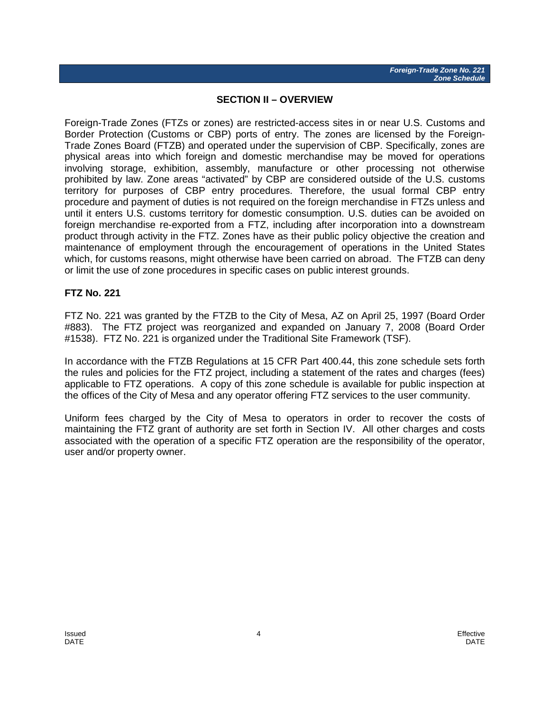#### **SECTION II – OVERVIEW**

<span id="page-4-0"></span>Foreign-Trade Zones (FTZs or zones) are restricted-access sites in or near U.S. Customs and Border Protection (Customs or CBP) ports of entry. The zones are licensed by the Foreign-Trade Zones Board (FTZB) and operated under the supervision of CBP. Specifically, zones are physical areas into which foreign and domestic merchandise may be moved for operations involving storage, exhibition, assembly, manufacture or other processing not otherwise prohibited by law. Zone areas "activated" by CBP are considered outside of the U.S. customs territory for purposes of CBP entry procedures. Therefore, the usual formal CBP entry procedure and payment of duties is not required on the foreign merchandise in FTZs unless and until it enters U.S. customs territory for domestic consumption. U.S. duties can be avoided on foreign merchandise re-exported from a FTZ, including after incorporation into a downstream product through activity in the FTZ. Zones have as their public policy objective the creation and maintenance of employment through the encouragement of operations in the United States which, for customs reasons, might otherwise have been carried on abroad. The FTZB can deny or limit the use of zone procedures in specific cases on public interest grounds.

#### **FTZ No. 221**

FTZ No. 221 was granted by the FTZB to the City of Mesa, AZ on April 25, 1997 (Board Order #883). The FTZ project was reorganized and expanded on January 7, 2008 (Board Order #1538). FTZ No. 221 is organized under the Traditional Site Framework (TSF).

In accordance with the FTZB Regulations at 15 CFR Part 400.44, this zone schedule sets forth the rules and policies for the FTZ project, including a statement of the rates and charges (fees) applicable to FTZ operations. A copy of this zone schedule is available for public inspection at the offices of the City of Mesa and any operator offering FTZ services to the user community.

<span id="page-4-1"></span>Uniform fees charged by the City of Mesa to operators in order to recover the costs of maintaining the FTZ grant of authority are set forth in Section IV. All other charges and costs associated with the operation of a specific FTZ operation are the responsibility of the operator, user and/or property owner.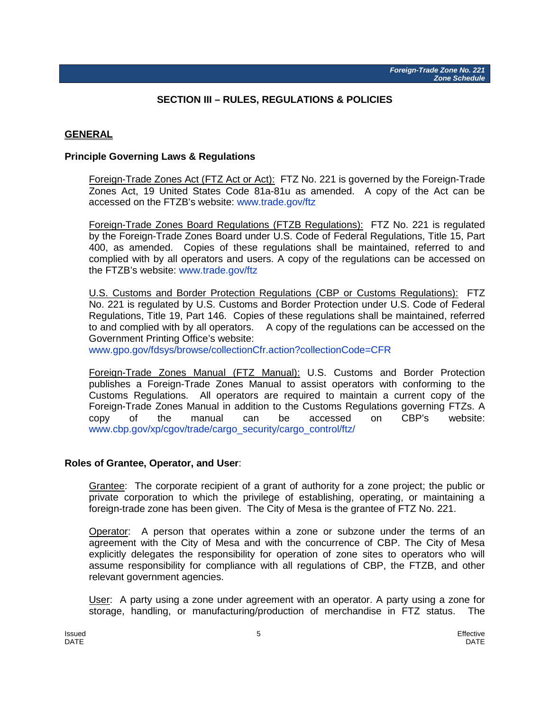#### **SECTION III – RULES, REGULATIONS & POLICIES**

#### **GENERAL**

#### **Principle Governing Laws & Regulations**

Foreign-Trade Zones Act (FTZ Act or Act): FTZ No. 221 is governed by the Foreign-Trade Zones Act, 19 United States Code 81a-81u as amended. A copy of the Act can be accessed on the FTZB's website: [www.trade.gov/ftz](http://www.trade.gov/ftz)

Foreign-Trade Zones Board Regulations (FTZB Regulations): FTZ No. 221 is regulated by the Foreign-Trade Zones Board under U.S. Code of Federal Regulations, Title 15, Part 400, as amended. Copies of these regulations shall be maintained, referred to and complied with by all operators and users. A copy of the regulations can be accessed on the FTZB's website: [www.trade.gov/ftz](http://www.trade.gov/ftz)

U.S. Customs and Border Protection Regulations (CBP or Customs Regulations): FTZ No. 221 is regulated by U.S. Customs and Border Protection under U.S. Code of Federal Regulations, Title 19, Part 146. Copies of these regulations shall be maintained, referred to and complied with by all operators. A copy of the regulations can be accessed on the Government Printing Office's website:

[www.gpo.gov/fdsys/browse/collectionCfr.action?collectionCode=CFR](http://www.gpo.gov/fdsys/browse/collectionCfr.action?collectionCode=CFR)

Foreign-Trade Zones Manual (FTZ Manual): U.S. Customs and Border Protection publishes a Foreign-Trade Zones Manual to assist operators with conforming to the Customs Regulations. All operators are required to maintain a current copy of the Foreign-Trade Zones Manual in addition to the Customs Regulations governing FTZs. A copy of the manual can be accessed on CBP's website: [www.cbp.gov/xp/cgov/trade/cargo\\_security/cargo\\_control/ftz/](http://www.cbp.gov/xp/cgov/trade/cargo_security/cargo_control/ftz/)

#### **Roles of Grantee, Operator, and User**:

Grantee: The corporate recipient of a grant of authority for a zone project; the public or private corporation to which the privilege of establishing, operating, or maintaining a foreign-trade zone has been given. The City of Mesa is the grantee of FTZ No. 221.

Operator: A person that operates within a zone or subzone under the terms of an agreement with the City of Mesa and with the concurrence of CBP. The City of Mesa explicitly delegates the responsibility for operation of zone sites to operators who will assume responsibility for compliance with all regulations of CBP, the FTZB, and other relevant government agencies.

User: A party using a zone under agreement with an operator. A party using a zone for storage, handling, or manufacturing/production of merchandise in FTZ status. The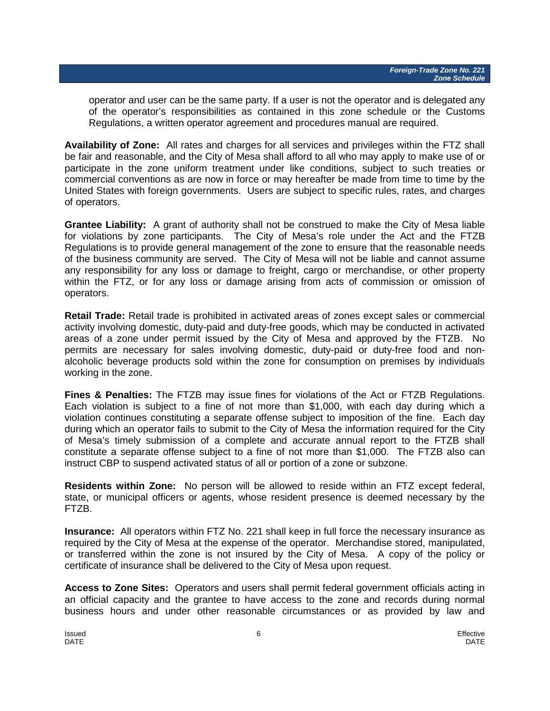operator and user can be the same party. If a user is not the operator and is delegated any of the operator's responsibilities as contained in this zone schedule or the Customs Regulations, a written operator agreement and procedures manual are required.

**Availability of Zone:** All rates and charges for all services and privileges within the FTZ shall be fair and reasonable, and the City of Mesa shall afford to all who may apply to make use of or participate in the zone uniform treatment under like conditions, subject to such treaties or commercial conventions as are now in force or may hereafter be made from time to time by the United States with foreign governments. Users are subject to specific rules, rates, and charges of operators.

**Grantee Liability:** A grant of authority shall not be construed to make the City of Mesa liable for violations by zone participants. The City of Mesa's role under the Act and the FTZB Regulations is to provide general management of the zone to ensure that the reasonable needs of the business community are served. The City of Mesa will not be liable and cannot assume any responsibility for any loss or damage to freight, cargo or merchandise, or other property within the FTZ, or for any loss or damage arising from acts of commission or omission of operators.

**Retail Trade:** Retail trade is prohibited in activated areas of zones except sales or commercial activity involving domestic, duty-paid and duty-free goods, which may be conducted in activated areas of a zone under permit issued by the City of Mesa and approved by the FTZB. No permits are necessary for sales involving domestic, duty-paid or duty-free food and nonalcoholic beverage products sold within the zone for consumption on premises by individuals working in the zone.

**Fines & Penalties:** The FTZB may issue fines for violations of the Act or FTZB Regulations. Each violation is subject to a fine of not more than \$1,000, with each day during which a violation continues constituting a separate offense subject to imposition of the fine. Each day during which an operator fails to submit to the City of Mesa the information required for the City of Mesa's timely submission of a complete and accurate annual report to the FTZB shall constitute a separate offense subject to a fine of not more than \$1,000. The FTZB also can instruct CBP to suspend activated status of all or portion of a zone or subzone.

**Residents within Zone:** No person will be allowed to reside within an FTZ except federal, state, or municipal officers or agents, whose resident presence is deemed necessary by the FTZB.

**Insurance:** All operators within FTZ No. 221 shall keep in full force the necessary insurance as required by the City of Mesa at the expense of the operator. Merchandise stored, manipulated, or transferred within the zone is not insured by the City of Mesa. A copy of the policy or certificate of insurance shall be delivered to the City of Mesa upon request.

**Access to Zone Sites:** Operators and users shall permit federal government officials acting in an official capacity and the grantee to have access to the zone and records during normal business hours and under other reasonable circumstances or as provided by law and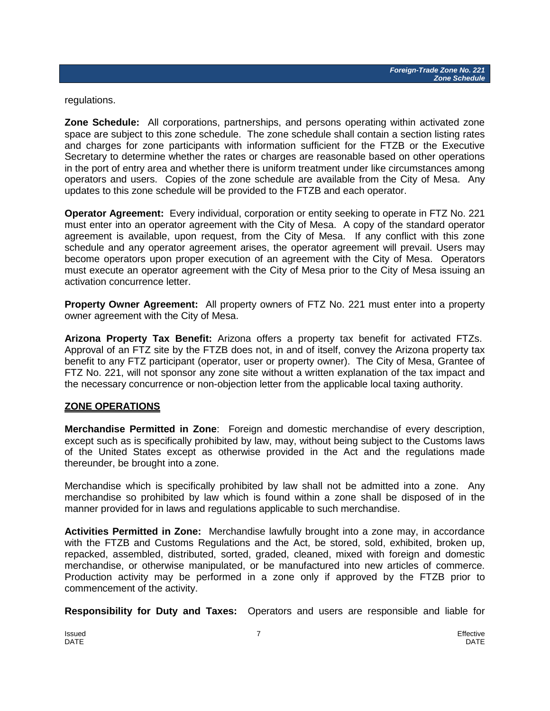regulations.

**Zone Schedule:** All corporations, partnerships, and persons operating within activated zone space are subject to this zone schedule. The zone schedule shall contain a section listing rates and charges for zone participants with information sufficient for the FTZB or the Executive Secretary to determine whether the rates or charges are reasonable based on other operations in the port of entry area and whether there is uniform treatment under like circumstances among operators and users. Copies of the zone schedule are available from the City of Mesa. Any updates to this zone schedule will be provided to the FTZB and each operator.

**Operator Agreement:** Every individual, corporation or entity seeking to operate in FTZ No. 221 must enter into an operator agreement with the City of Mesa. A copy of the standard operator agreement is available, upon request, from the City of Mesa. If any conflict with this zone schedule and any operator agreement arises, the operator agreement will prevail. Users may become operators upon proper execution of an agreement with the City of Mesa. Operators must execute an operator agreement with the City of Mesa prior to the City of Mesa issuing an activation concurrence letter.

**Property Owner Agreement:** All property owners of FTZ No. 221 must enter into a property owner agreement with the City of Mesa.

**Arizona Property Tax Benefit:** Arizona offers a property tax benefit for activated FTZs. Approval of an FTZ site by the FTZB does not, in and of itself, convey the Arizona property tax benefit to any FTZ participant (operator, user or property owner). The City of Mesa, Grantee of FTZ No. 221, will not sponsor any zone site without a written explanation of the tax impact and the necessary concurrence or non-objection letter from the applicable local taxing authority.

#### **ZONE OPERATIONS**

**Merchandise Permitted in Zone**: Foreign and domestic merchandise of every description, except such as is specifically prohibited by law, may, without being subject to the Customs laws of the United States except as otherwise provided in the Act and the regulations made thereunder, be brought into a zone.

Merchandise which is specifically prohibited by law shall not be admitted into a zone. Any merchandise so prohibited by law which is found within a zone shall be disposed of in the manner provided for in laws and regulations applicable to such merchandise.

**Activities Permitted in Zone:** Merchandise lawfully brought into a zone may, in accordance with the FTZB and Customs Regulations and the Act, be stored, sold, exhibited, broken up, repacked, assembled, distributed, sorted, graded, cleaned, mixed with foreign and domestic merchandise, or otherwise manipulated, or be manufactured into new articles of commerce. Production activity may be performed in a zone only if approved by the FTZB prior to commencement of the activity.

**Responsibility for Duty and Taxes:** Operators and users are responsible and liable for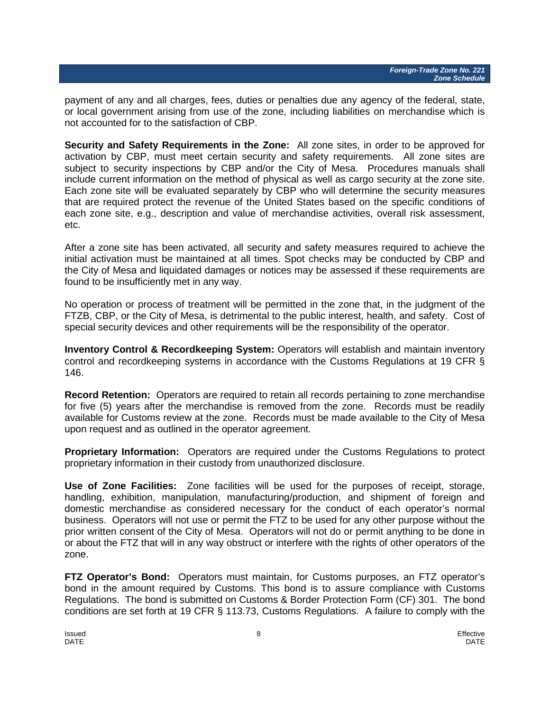payment of any and all charges, fees, duties or penalties due any agency of the federal, state, or local government arising from use of the zone, including liabilities on merchandise which is not accounted for to the satisfaction of CBP.

**Security and Safety Requirements in the Zone:** All zone sites, in order to be approved for activation by CBP, must meet certain security and safety requirements. All zone sites are subject to security inspections by CBP and/or the City of Mesa. Procedures manuals shall include current information on the method of physical as well as cargo security at the zone site. Each zone site will be evaluated separately by CBP who will determine the security measures that are required protect the revenue of the United States based on the specific conditions of each zone site, e.g., description and value of merchandise activities, overall risk assessment, etc.

After a zone site has been activated, all security and safety measures required to achieve the initial activation must be maintained at all times. Spot checks may be conducted by CBP and the City of Mesa and liquidated damages or notices may be assessed if these requirements are found to be insufficiently met in any way.

No operation or process of treatment will be permitted in the zone that, in the judgment of the FTZB, CBP, or the City of Mesa, is detrimental to the public interest, health, and safety. Cost of special security devices and other requirements will be the responsibility of the operator.

**Inventory Control & Recordkeeping System:** Operators will establish and maintain inventory control and recordkeeping systems in accordance with the Customs Regulations at 19 CFR § 146.

**Record Retention:** Operators are required to retain all records pertaining to zone merchandise for five (5) years after the merchandise is removed from the zone. Records must be readily available for Customs review at the zone. Records must be made available to the City of Mesa upon request and as outlined in the operator agreement.

**Proprietary Information:** Operators are required under the Customs Regulations to protect proprietary information in their custody from unauthorized disclosure.

**Use of Zone Facilities:** Zone facilities will be used for the purposes of receipt, storage, handling, exhibition, manipulation, manufacturing/production, and shipment of foreign and domestic merchandise as considered necessary for the conduct of each operator's normal business. Operators will not use or permit the FTZ to be used for any other purpose without the prior written consent of the City of Mesa. Operators will not do or permit anything to be done in or about the FTZ that will in any way obstruct or interfere with the rights of other operators of the zone.

**FTZ Operator's Bond:** Operators must maintain, for Customs purposes, an FTZ operator's bond in the amount required by Customs. This bond is to assure compliance with Customs Regulations. The bond is submitted on Customs & Border Protection Form (CF) 301. The bond conditions are set forth at 19 CFR § 113.73, Customs Regulations. A failure to comply with the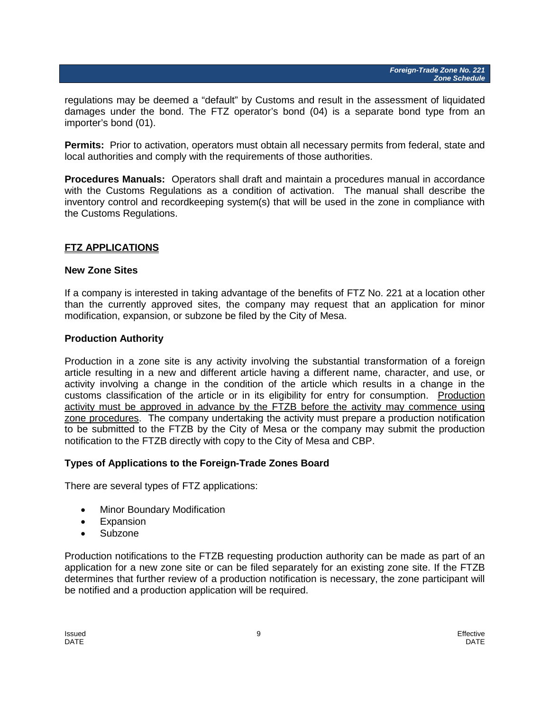regulations may be deemed a "default" by Customs and result in the assessment of liquidated damages under the bond. The FTZ operator's bond (04) is a separate bond type from an importer's bond (01).

**Permits:** Prior to activation, operators must obtain all necessary permits from federal, state and local authorities and comply with the requirements of those authorities.

**Procedures Manuals:** Operators shall draft and maintain a procedures manual in accordance with the Customs Regulations as a condition of activation. The manual shall describe the inventory control and recordkeeping system(s) that will be used in the zone in compliance with the Customs Regulations.

#### **FTZ APPLICATIONS**

#### **New Zone Sites**

If a company is interested in taking advantage of the benefits of FTZ No. 221 at a location other than the currently approved sites, the company may request that an application for minor modification, expansion, or subzone be filed by the City of Mesa.

#### **Production Authority**

Production in a zone site is any activity involving the substantial transformation of a foreign article resulting in a new and different article having a different name, character, and use, or activity involving a change in the condition of the article which results in a change in the customs classification of the article or in its eligibility for entry for consumption. Production activity must be approved in advance by the FTZB before the activity may commence using zone procedures. The company undertaking the activity must prepare a production notification to be submitted to the FTZB by the City of Mesa or the company may submit the production notification to the FTZB directly with copy to the City of Mesa and CBP.

#### **Types of Applications to the Foreign-Trade Zones Board**

There are several types of FTZ applications:

- Minor Boundary Modification
- Expansion
- Subzone

Production notifications to the FTZB requesting production authority can be made as part of an application for a new zone site or can be filed separately for an existing zone site. If the FTZB determines that further review of a production notification is necessary, the zone participant will be notified and a production application will be required.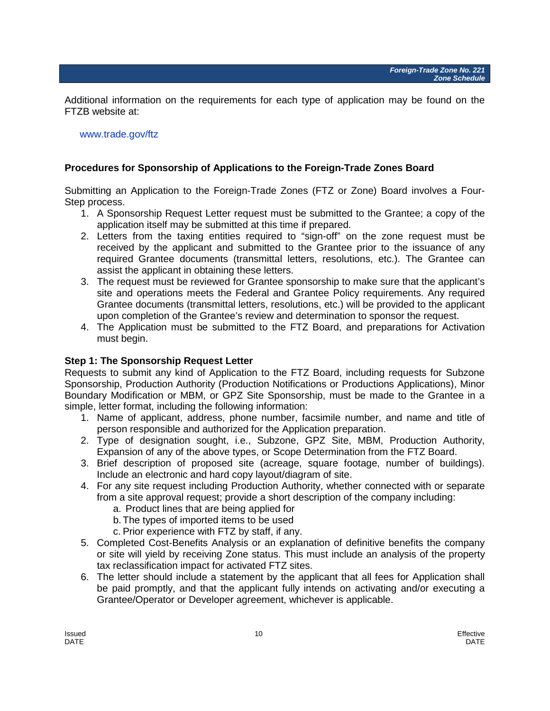Additional information on the requirements for each type of application may be found on the FTZB website at:

#### [www.trade.gov/ftz](http://www.trade.gov/ftz)

#### **Procedures for Sponsorship of Applications to the Foreign-Trade Zones Board**

Submitting an Application to the Foreign-Trade Zones (FTZ or Zone) Board involves a Four-Step process.

- 1. A Sponsorship Request Letter request must be submitted to the Grantee; a copy of the application itself may be submitted at this time if prepared.
- 2. Letters from the taxing entities required to "sign-off" on the zone request must be received by the applicant and submitted to the Grantee prior to the issuance of any required Grantee documents (transmittal letters, resolutions, etc.). The Grantee can assist the applicant in obtaining these letters.
- 3. The request must be reviewed for Grantee sponsorship to make sure that the applicant's site and operations meets the Federal and Grantee Policy requirements. Any required Grantee documents (transmittal letters, resolutions, etc.) will be provided to the applicant upon completion of the Grantee's review and determination to sponsor the request.
- 4. The Application must be submitted to the FTZ Board, and preparations for Activation must begin.

#### **Step 1: The Sponsorship Request Letter**

Requests to submit any kind of Application to the FTZ Board, including requests for Subzone Sponsorship, Production Authority (Production Notifications or Productions Applications), Minor Boundary Modification or MBM, or GPZ Site Sponsorship, must be made to the Grantee in a simple, letter format, including the following information:

- 1. Name of applicant, address, phone number, facsimile number, and name and title of person responsible and authorized for the Application preparation.
- 2. Type of designation sought, i.e., Subzone, GPZ Site, MBM, Production Authority, Expansion of any of the above types, or Scope Determination from the FTZ Board.
- 3. Brief description of proposed site (acreage, square footage, number of buildings). Include an electronic and hard copy layout/diagram of site.
- 4. For any site request including Production Authority, whether connected with or separate from a site approval request; provide a short description of the company including:
	- a. Product lines that are being applied for
	- b.The types of imported items to be used
	- c. Prior experience with FTZ by staff, if any.
- 5. Completed Cost-Benefits Analysis or an explanation of definitive benefits the company or site will yield by receiving Zone status. This must include an analysis of the property tax reclassification impact for activated FTZ sites.
- 6. The letter should include a statement by the applicant that all fees for Application shall be paid promptly, and that the applicant fully intends on activating and/or executing a Grantee/Operator or Developer agreement, whichever is applicable.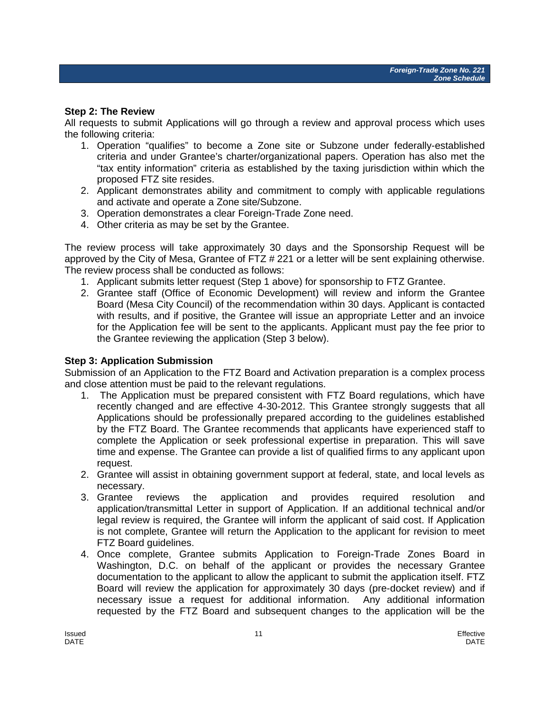#### **Step 2: The Review**

All requests to submit Applications will go through a review and approval process which uses the following criteria:

- 1. Operation "qualifies" to become a Zone site or Subzone under federally-established criteria and under Grantee's charter/organizational papers. Operation has also met the "tax entity information" criteria as established by the taxing jurisdiction within which the proposed FTZ site resides.
- 2. Applicant demonstrates ability and commitment to comply with applicable regulations and activate and operate a Zone site/Subzone.
- 3. Operation demonstrates a clear Foreign-Trade Zone need.
- 4. Other criteria as may be set by the Grantee.

The review process will take approximately 30 days and the Sponsorship Request will be approved by the City of Mesa, Grantee of FTZ # 221 or a letter will be sent explaining otherwise. The review process shall be conducted as follows:

- 1. Applicant submits letter request (Step 1 above) for sponsorship to FTZ Grantee.
- 2. Grantee staff (Office of Economic Development) will review and inform the Grantee Board (Mesa City Council) of the recommendation within 30 days. Applicant is contacted with results, and if positive, the Grantee will issue an appropriate Letter and an invoice for the Application fee will be sent to the applicants. Applicant must pay the fee prior to the Grantee reviewing the application (Step 3 below).

#### **Step 3: Application Submission**

Submission of an Application to the FTZ Board and Activation preparation is a complex process and close attention must be paid to the relevant regulations.

- 1. The Application must be prepared consistent with FTZ Board regulations, which have recently changed and are effective 4-30-2012. This Grantee strongly suggests that all Applications should be professionally prepared according to the guidelines established by the FTZ Board. The Grantee recommends that applicants have experienced staff to complete the Application or seek professional expertise in preparation. This will save time and expense. The Grantee can provide a list of qualified firms to any applicant upon request.
- 2. Grantee will assist in obtaining government support at federal, state, and local levels as necessary.
- 3. Grantee reviews the application and provides required resolution and application/transmittal Letter in support of Application. If an additional technical and/or legal review is required, the Grantee will inform the applicant of said cost. If Application is not complete, Grantee will return the Application to the applicant for revision to meet FTZ Board guidelines.
- 4. Once complete, Grantee submits Application to Foreign-Trade Zones Board in Washington, D.C. on behalf of the applicant or provides the necessary Grantee documentation to the applicant to allow the applicant to submit the application itself. FTZ Board will review the application for approximately 30 days (pre-docket review) and if necessary issue a request for additional information. Any additional information requested by the FTZ Board and subsequent changes to the application will be the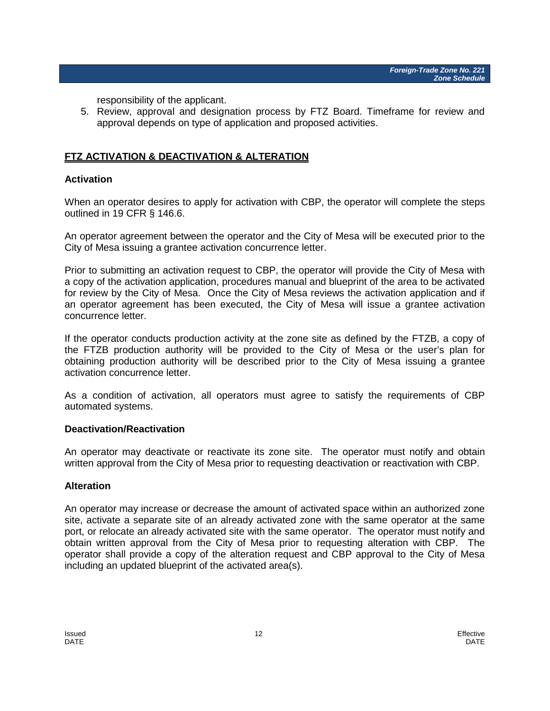responsibility of the applicant.

5. Review, approval and designation process by FTZ Board. Timeframe for review and approval depends on type of application and proposed activities.

#### **FTZ ACTIVATION & DEACTIVATION & ALTERATION**

#### **Activation**

When an operator desires to apply for activation with CBP, the operator will complete the steps outlined in 19 CFR § 146.6.

An operator agreement between the operator and the City of Mesa will be executed prior to the City of Mesa issuing a grantee activation concurrence letter.

Prior to submitting an activation request to CBP, the operator will provide the City of Mesa with a copy of the activation application, procedures manual and blueprint of the area to be activated for review by the City of Mesa. Once the City of Mesa reviews the activation application and if an operator agreement has been executed, the City of Mesa will issue a grantee activation concurrence letter.

If the operator conducts production activity at the zone site as defined by the FTZB, a copy of the FTZB production authority will be provided to the City of Mesa or the user's plan for obtaining production authority will be described prior to the City of Mesa issuing a grantee activation concurrence letter.

As a condition of activation, all operators must agree to satisfy the requirements of CBP automated systems.

#### **Deactivation/Reactivation**

An operator may deactivate or reactivate its zone site. The operator must notify and obtain written approval from the City of Mesa prior to requesting deactivation or reactivation with CBP.

#### **Alteration**

An operator may increase or decrease the amount of activated space within an authorized zone site, activate a separate site of an already activated zone with the same operator at the same port, or relocate an already activated site with the same operator. The operator must notify and obtain written approval from the City of Mesa prior to requesting alteration with CBP. The operator shall provide a copy of the alteration request and CBP approval to the City of Mesa including an updated blueprint of the activated area(s).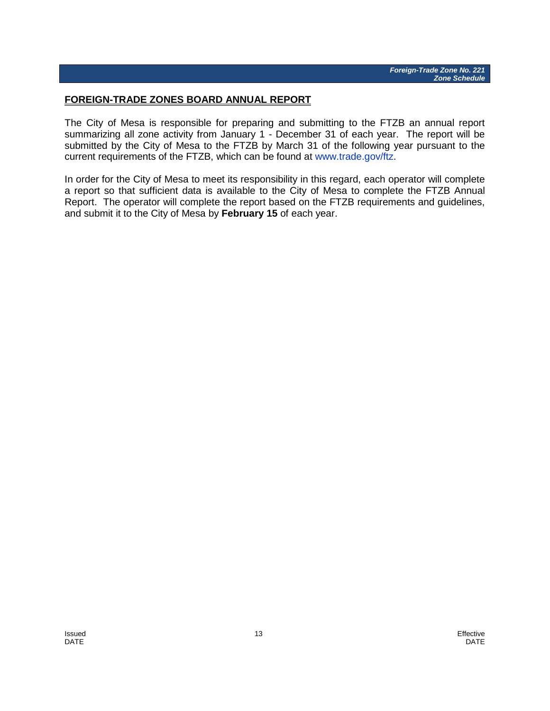#### **FOREIGN-TRADE ZONES BOARD ANNUAL REPORT**

The City of Mesa is responsible for preparing and submitting to the FTZB an annual report summarizing all zone activity from January 1 - December 31 of each year. The report will be submitted by the City of Mesa to the FTZB by March 31 of the following year pursuant to the current requirements of the FTZB, which can be found at [www.trade.gov/ftz.](http://www.trade.gov/ftz)

In order for the City of Mesa to meet its responsibility in this regard, each operator will complete a report so that sufficient data is available to the City of Mesa to complete the FTZB Annual Report. The operator will complete the report based on the FTZB requirements and guidelines, and submit it to the City of Mesa by **February 15** of each year.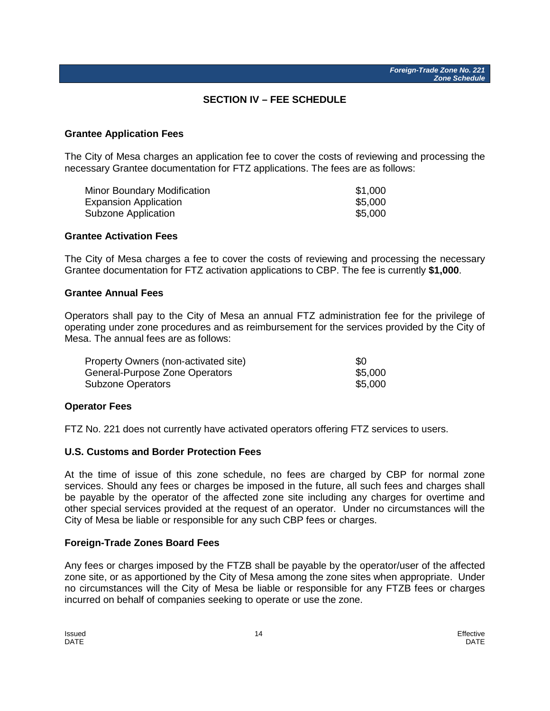#### **SECTION IV – FEE SCHEDULE**

#### <span id="page-14-0"></span>**Grantee Application Fees**

The City of Mesa charges an application fee to cover the costs of reviewing and processing the necessary Grantee documentation for FTZ applications. The fees are as follows:

| Minor Boundary Modification  | \$1,000 |
|------------------------------|---------|
| <b>Expansion Application</b> | \$5,000 |
| Subzone Application          | \$5,000 |

#### **Grantee Activation Fees**

The City of Mesa charges a fee to cover the costs of reviewing and processing the necessary Grantee documentation for FTZ activation applications to CBP. The fee is currently **\$1,000**.

#### **Grantee Annual Fees**

Operators shall pay to the City of Mesa an annual FTZ administration fee for the privilege of operating under zone procedures and as reimbursement for the services provided by the City of Mesa. The annual fees are as follows:

| Property Owners (non-activated site) | -90     |
|--------------------------------------|---------|
| General-Purpose Zone Operators       | \$5,000 |
| Subzone Operators                    | \$5,000 |

#### **Operator Fees**

FTZ No. 221 does not currently have activated operators offering FTZ services to users.

#### **U.S. Customs and Border Protection Fees**

At the time of issue of this zone schedule, no fees are charged by CBP for normal zone services. Should any fees or charges be imposed in the future, all such fees and charges shall be payable by the operator of the affected zone site including any charges for overtime and other special services provided at the request of an operator. Under no circumstances will the City of Mesa be liable or responsible for any such CBP fees or charges.

#### **Foreign-Trade Zones Board Fees**

Any fees or charges imposed by the FTZB shall be payable by the operator/user of the affected zone site, or as apportioned by the City of Mesa among the zone sites when appropriate. Under no circumstances will the City of Mesa be liable or responsible for any FTZB fees or charges incurred on behalf of companies seeking to operate or use the zone.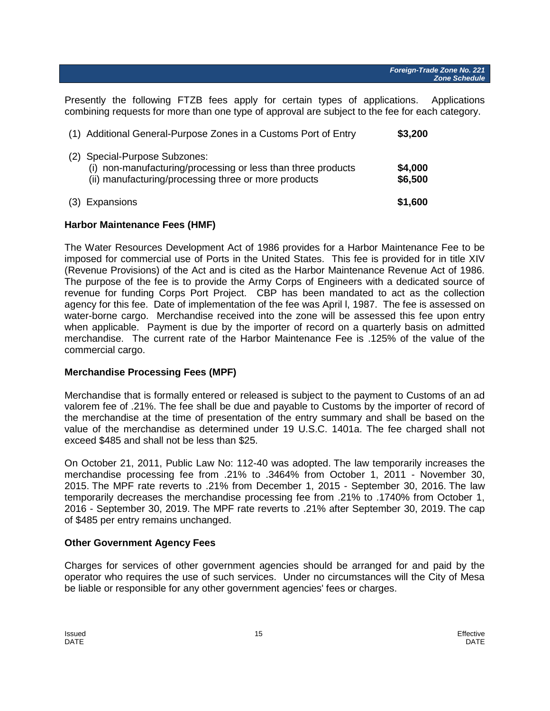Presently the following FTZB fees apply for certain types of applications. Applications combining requests for more than one type of approval are subject to the fee for each category.

| (3) Expansions                                                                                                                                        | \$1,600            |
|-------------------------------------------------------------------------------------------------------------------------------------------------------|--------------------|
| (2) Special-Purpose Subzones:<br>(i) non-manufacturing/processing or less than three products<br>(ii) manufacturing/processing three or more products | \$4,000<br>\$6,500 |
| (1) Additional General-Purpose Zones in a Customs Port of Entry                                                                                       | \$3,200            |

#### **Harbor Maintenance Fees (HMF)**

The Water Resources Development Act of 1986 provides for a Harbor Maintenance Fee to be imposed for commercial use of Ports in the United States. This fee is provided for in title XIV (Revenue Provisions) of the Act and is cited as the Harbor Maintenance Revenue Act of 1986. The purpose of the fee is to provide the Army Corps of Engineers with a dedicated source of revenue for funding Corps Port Project. CBP has been mandated to act as the collection agency for this fee. Date of implementation of the fee was April l, 1987. The fee is assessed on water-borne cargo. Merchandise received into the zone will be assessed this fee upon entry when applicable. Payment is due by the importer of record on a quarterly basis on admitted merchandise. The current rate of the Harbor Maintenance Fee is .125% of the value of the commercial cargo.

#### **Merchandise Processing Fees (MPF)**

Merchandise that is formally entered or released is subject to the payment to Customs of an ad valorem fee of .21%. The fee shall be due and payable to Customs by the importer of record of the merchandise at the time of presentation of the entry summary and shall be based on the value of the merchandise as determined under 19 U.S.C. 1401a. The fee charged shall not exceed \$485 and shall not be less than \$25.

On October 21, 2011, Public Law No: 112-40 was adopted. The law temporarily increases the merchandise processing fee from .21% to .3464% from October 1, 2011 - November 30, 2015. The MPF rate reverts to .21% from December 1, 2015 - September 30, 2016. The law temporarily decreases the merchandise processing fee from .21% to .1740% from October 1, 2016 - September 30, 2019. The MPF rate reverts to .21% after September 30, 2019. The cap of \$485 per entry remains unchanged.

#### **Other Government Agency Fees**

Charges for services of other government agencies should be arranged for and paid by the operator who requires the use of such services. Under no circumstances will the City of Mesa be liable or responsible for any other government agencies' fees or charges.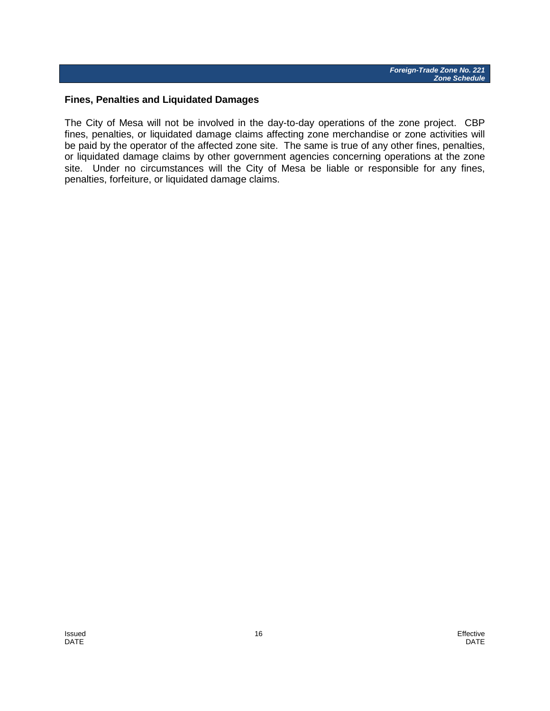#### **Fines, Penalties and Liquidated Damages**

The City of Mesa will not be involved in the day-to-day operations of the zone project. CBP fines, penalties, or liquidated damage claims affecting zone merchandise or zone activities will be paid by the operator of the affected zone site. The same is true of any other fines, penalties, or liquidated damage claims by other government agencies concerning operations at the zone site. Under no circumstances will the City of Mesa be liable or responsible for any fines, penalties, forfeiture, or liquidated damage claims.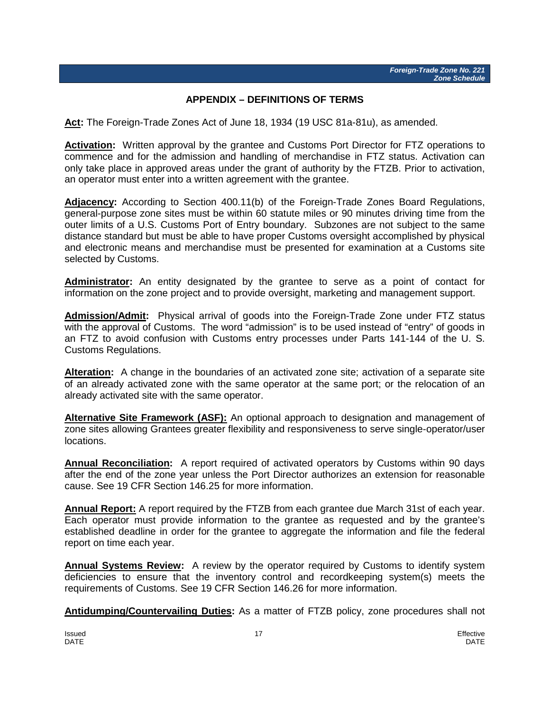#### **APPENDIX – DEFINITIONS OF TERMS**

<span id="page-17-0"></span>**Act:** The Foreign-Trade Zones Act of June 18, 1934 (19 USC 81a-81u), as amended.

**Activation:** Written approval by the grantee and Customs Port Director for FTZ operations to commence and for the admission and handling of merchandise in FTZ status. Activation can only take place in approved areas under the grant of authority by the FTZB. Prior to activation, an operator must enter into a written agreement with the grantee.

**Adjacency:** According to Section 400.11(b) of the Foreign-Trade Zones Board Regulations, general-purpose zone sites must be within 60 statute miles or 90 minutes driving time from the outer limits of a U.S. Customs Port of Entry boundary. Subzones are not subject to the same distance standard but must be able to have proper Customs oversight accomplished by physical and electronic means and merchandise must be presented for examination at a Customs site selected by Customs.

**Administrator:** An entity designated by the grantee to serve as a point of contact for information on the zone project and to provide oversight, marketing and management support.

**Admission/Admit:** Physical arrival of goods into the Foreign-Trade Zone under FTZ status with the approval of Customs. The word "admission" is to be used instead of "entry" of goods in an FTZ to avoid confusion with Customs entry processes under Parts 141-144 of the U. S. Customs Regulations.

**Alteration:** A change in the boundaries of an activated zone site; activation of a separate site of an already activated zone with the same operator at the same port; or the relocation of an already activated site with the same operator.

**Alternative Site Framework (ASF):** An optional approach to designation and management of zone sites allowing Grantees greater flexibility and responsiveness to serve single-operator/user locations.

**Annual Reconciliation:** A report required of activated operators by Customs within 90 days after the end of the zone year unless the Port Director authorizes an extension for reasonable cause. See 19 CFR Section 146.25 for more information.

**Annual Report:** A report required by the FTZB from each grantee due March 31st of each year. Each operator must provide information to the grantee as requested and by the grantee's established deadline in order for the grantee to aggregate the information and file the federal report on time each year.

**Annual Systems Review:** A review by the operator required by Customs to identify system deficiencies to ensure that the inventory control and recordkeeping system(s) meets the requirements of Customs. See 19 CFR Section 146.26 for more information.

**Antidumping/Countervailing Duties:** As a matter of FTZB policy, zone procedures shall not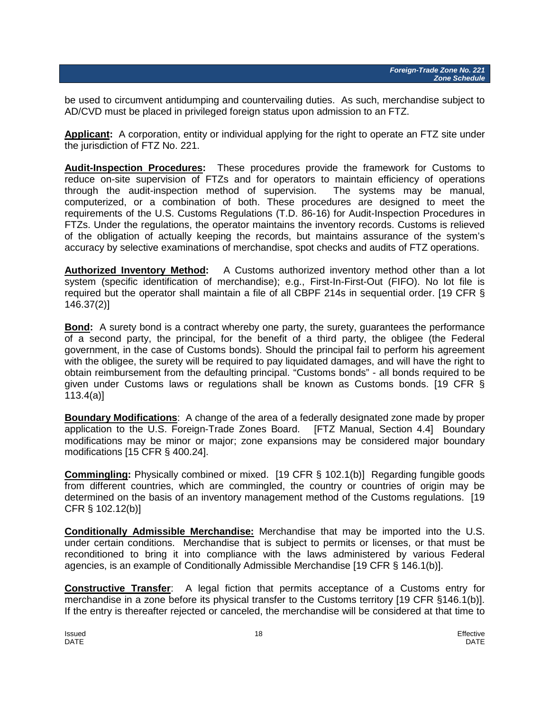be used to circumvent antidumping and countervailing duties. As such, merchandise subject to AD/CVD must be placed in privileged foreign status upon admission to an FTZ.

**Applicant:** A corporation, entity or individual applying for the right to operate an FTZ site under the jurisdiction of FTZ No. 221.

**Audit-Inspection Procedures:** These procedures provide the framework for Customs to reduce on-site supervision of FTZs and for operators to maintain efficiency of operations through the audit-inspection method of supervision. The systems may be manual, computerized, or a combination of both. These procedures are designed to meet the requirements of the U.S. Customs Regulations (T.D. 86-16) for Audit-Inspection Procedures in FTZs. Under the regulations, the operator maintains the inventory records. Customs is relieved of the obligation of actually keeping the records, but maintains assurance of the system's accuracy by selective examinations of merchandise, spot checks and audits of FTZ operations.

**Authorized Inventory Method:** A Customs authorized inventory method other than a lot system (specific identification of merchandise); e.g., First-In-First-Out (FIFO). No lot file is required but the operator shall maintain a file of all CBPF 214s in sequential order. [19 CFR § 146.37(2)]

**Bond:** A surety bond is a contract whereby one party, the surety, guarantees the performance of a second party, the principal, for the benefit of a third party, the obligee (the Federal government, in the case of Customs bonds). Should the principal fail to perform his agreement with the obligee, the surety will be required to pay liquidated damages, and will have the right to obtain reimbursement from the defaulting principal. "Customs bonds" - all bonds required to be given under Customs laws or regulations shall be known as Customs bonds. [19 CFR § 113.4(a)]

**Boundary Modifications**: A change of the area of a federally designated zone made by proper application to the U.S. Foreign-Trade Zones Board. [FTZ Manual, Section 4.4] Boundary modifications may be minor or major; zone expansions may be considered major boundary modifications [15 CFR § 400.24].

**Commingling:** Physically combined or mixed. [19 CFR § 102.1(b)] Regarding fungible goods from different countries, which are commingled, the country or countries of origin may be determined on the basis of an inventory management method of the Customs regulations. [19 CFR § 102.12(b)]

**Conditionally Admissible Merchandise:** Merchandise that may be imported into the U.S. under certain conditions. Merchandise that is subject to permits or licenses, or that must be reconditioned to bring it into compliance with the laws administered by various Federal agencies, is an example of Conditionally Admissible Merchandise [19 CFR § 146.1(b)].

**Constructive Transfer**: A legal fiction that permits acceptance of a Customs entry for merchandise in a zone before its physical transfer to the Customs territory [19 CFR §146.1(b)]. If the entry is thereafter rejected or canceled, the merchandise will be considered at that time to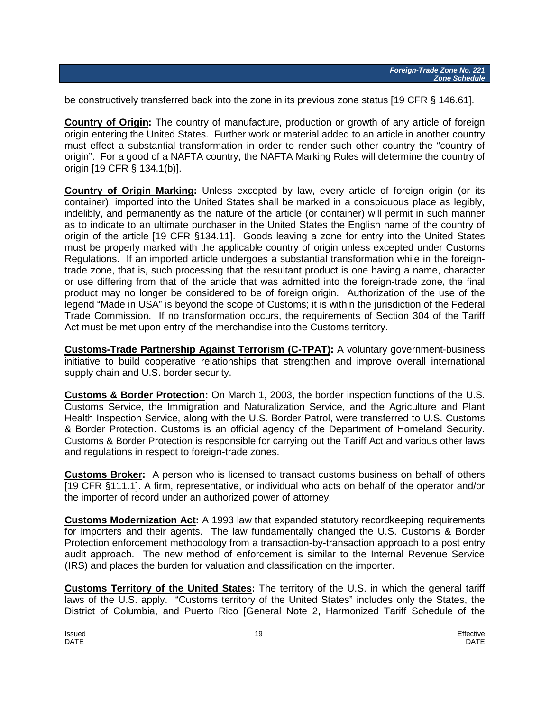be constructively transferred back into the zone in its previous zone status [19 CFR § 146.61].

**Country of Origin:** The country of manufacture, production or growth of any article of foreign origin entering the United States. Further work or material added to an article in another country must effect a substantial transformation in order to render such other country the "country of origin". For a good of a NAFTA country, the NAFTA Marking Rules will determine the country of origin [19 CFR § 134.1(b)].

**Country of Origin Marking:** Unless excepted by law, every article of foreign origin (or its container), imported into the United States shall be marked in a conspicuous place as legibly, indelibly, and permanently as the nature of the article (or container) will permit in such manner as to indicate to an ultimate purchaser in the United States the English name of the country of origin of the article [19 CFR §134.11]. Goods leaving a zone for entry into the United States must be properly marked with the applicable country of origin unless excepted under Customs Regulations. If an imported article undergoes a substantial transformation while in the foreigntrade zone, that is, such processing that the resultant product is one having a name, character or use differing from that of the article that was admitted into the foreign-trade zone, the final product may no longer be considered to be of foreign origin. Authorization of the use of the legend "Made in USA" is beyond the scope of Customs; it is within the jurisdiction of the Federal Trade Commission. If no transformation occurs, the requirements of Section 304 of the Tariff Act must be met upon entry of the merchandise into the Customs territory.

**Customs-Trade Partnership Against Terrorism (C-TPAT):** A voluntary government-business initiative to build cooperative relationships that strengthen and improve overall international supply chain and U.S. border security.

**Customs & Border Protection:** On March 1, 2003, the border inspection functions of the U.S. Customs Service, the Immigration and Naturalization Service, and the Agriculture and Plant Health Inspection Service, along with the U.S. Border Patrol, were transferred to U.S. Customs & Border Protection. Customs is an official agency of the Department of Homeland Security. Customs & Border Protection is responsible for carrying out the Tariff Act and various other laws and regulations in respect to foreign-trade zones.

**Customs Broker:** A person who is licensed to transact customs business on behalf of others [19 CFR §111.1]. A firm, representative, or individual who acts on behalf of the operator and/or the importer of record under an authorized power of attorney.

**Customs Modernization Act:** A 1993 law that expanded statutory recordkeeping requirements for importers and their agents. The law fundamentally changed the U.S. Customs & Border Protection enforcement methodology from a transaction-by-transaction approach to a post entry audit approach. The new method of enforcement is similar to the Internal Revenue Service (IRS) and places the burden for valuation and classification on the importer.

**Customs Territory of the United States:** The territory of the U.S. in which the general tariff laws of the U.S. apply. "Customs territory of the United States" includes only the States, the District of Columbia, and Puerto Rico [General Note 2, Harmonized Tariff Schedule of the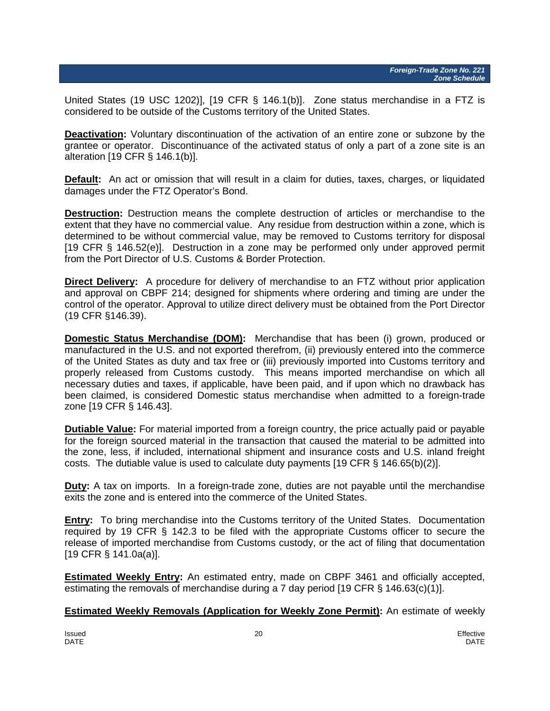United States (19 USC 1202)], [19 CFR § 146.1(b)]. Zone status merchandise in a FTZ is considered to be outside of the Customs territory of the United States.

**Deactivation:** Voluntary discontinuation of the activation of an entire zone or subzone by the grantee or operator. Discontinuance of the activated status of only a part of a zone site is an alteration [19 CFR § 146.1(b)].

**Default:** An act or omission that will result in a claim for duties, taxes, charges, or liquidated damages under the FTZ Operator's Bond.

**Destruction:** Destruction means the complete destruction of articles or merchandise to the extent that they have no commercial value. Any residue from destruction within a zone, which is determined to be without commercial value, may be removed to Customs territory for disposal [19 CFR § 146.52(e)]. Destruction in a zone may be performed only under approved permit from the Port Director of U.S. Customs & Border Protection.

**Direct Delivery:** A procedure for delivery of merchandise to an FTZ without prior application and approval on CBPF 214; designed for shipments where ordering and timing are under the control of the operator. Approval to utilize direct delivery must be obtained from the Port Director (19 CFR §146.39).

**Domestic Status Merchandise (DOM):** Merchandise that has been (i) grown, produced or manufactured in the U.S. and not exported therefrom, (ii) previously entered into the commerce of the United States as duty and tax free or (iii) previously imported into Customs territory and properly released from Customs custody. This means imported merchandise on which all necessary duties and taxes, if applicable, have been paid, and if upon which no drawback has been claimed, is considered Domestic status merchandise when admitted to a foreign-trade zone [19 CFR § 146.43].

**Dutiable Value:** For material imported from a foreign country, the price actually paid or payable for the foreign sourced material in the transaction that caused the material to be admitted into the zone, less, if included, international shipment and insurance costs and U.S. inland freight costs. The dutiable value is used to calculate duty payments [19 CFR § 146.65(b)(2)].

**Duty:** A tax on imports. In a foreign-trade zone, duties are not payable until the merchandise exits the zone and is entered into the commerce of the United States.

**Entry:** To bring merchandise into the Customs territory of the United States. Documentation required by 19 CFR § 142.3 to be filed with the appropriate Customs officer to secure the release of imported merchandise from Customs custody, or the act of filing that documentation [19 CFR § 141.0a(a)].

**Estimated Weekly Entry:** An estimated entry, made on CBPF 3461 and officially accepted, estimating the removals of merchandise during a 7 day period [19 CFR § 146.63(c)(1)].

**Estimated Weekly Removals (Application for Weekly Zone Permit):** An estimate of weekly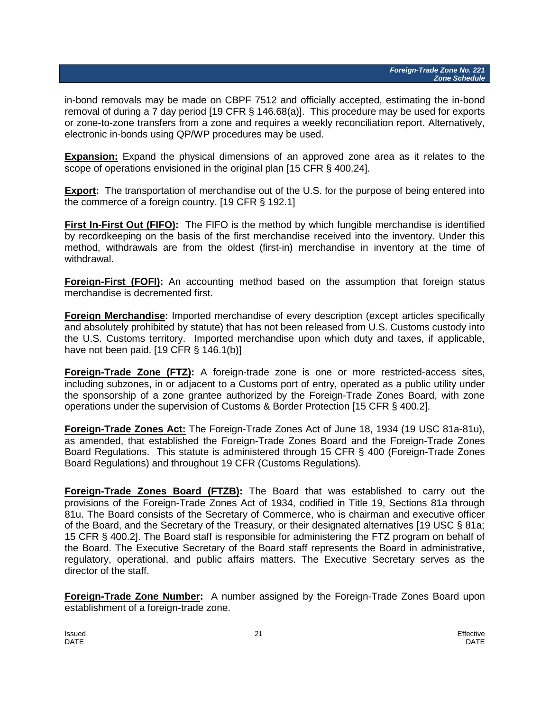in-bond removals may be made on CBPF 7512 and officially accepted, estimating the in-bond removal of during a 7 day period [19 CFR § 146.68(a)]. This procedure may be used for exports or zone-to-zone transfers from a zone and requires a weekly reconciliation report. Alternatively, electronic in-bonds using QP/WP procedures may be used.

**Expansion:** Expand the physical dimensions of an approved zone area as it relates to the scope of operations envisioned in the original plan [15 CFR § 400.24].

**Export:** The transportation of merchandise out of the U.S. for the purpose of being entered into the commerce of a foreign country. [19 CFR § 192.1]

**First In-First Out (FIFO):** The FIFO is the method by which fungible merchandise is identified by recordkeeping on the basis of the first merchandise received into the inventory. Under this method, withdrawals are from the oldest (first-in) merchandise in inventory at the time of withdrawal.

**Foreign-First (FOFI):** An accounting method based on the assumption that foreign status merchandise is decremented first.

**Foreign Merchandise:** Imported merchandise of every description (except articles specifically and absolutely prohibited by statute) that has not been released from U.S. Customs custody into the U.S. Customs territory. Imported merchandise upon which duty and taxes, if applicable, have not been paid. [19 CFR § 146.1(b)]

**Foreign-Trade Zone (FTZ):** A foreign-trade zone is one or more restricted-access sites, including subzones, in or adjacent to a Customs port of entry, operated as a public utility under the sponsorship of a zone grantee authorized by the Foreign-Trade Zones Board, with zone operations under the supervision of Customs & Border Protection [15 CFR § 400.2].

**Foreign-Trade Zones Act:** The Foreign-Trade Zones Act of June 18, 1934 (19 USC 81a-81u), as amended, that established the Foreign-Trade Zones Board and the Foreign-Trade Zones Board Regulations. This statute is administered through 15 CFR § 400 (Foreign-Trade Zones Board Regulations) and throughout 19 CFR (Customs Regulations).

**Foreign-Trade Zones Board (FTZB):** The Board that was established to carry out the provisions of the Foreign-Trade Zones Act of 1934, codified in Title 19, Sections 81a through 81u. The Board consists of the Secretary of Commerce, who is chairman and executive officer of the Board, and the Secretary of the Treasury, or their designated alternatives [19 USC § 81a; 15 CFR § 400.2]. The Board staff is responsible for administering the FTZ program on behalf of the Board. The Executive Secretary of the Board staff represents the Board in administrative, regulatory, operational, and public affairs matters. The Executive Secretary serves as the director of the staff.

**Foreign-Trade Zone Number:** A number assigned by the Foreign-Trade Zones Board upon establishment of a foreign-trade zone.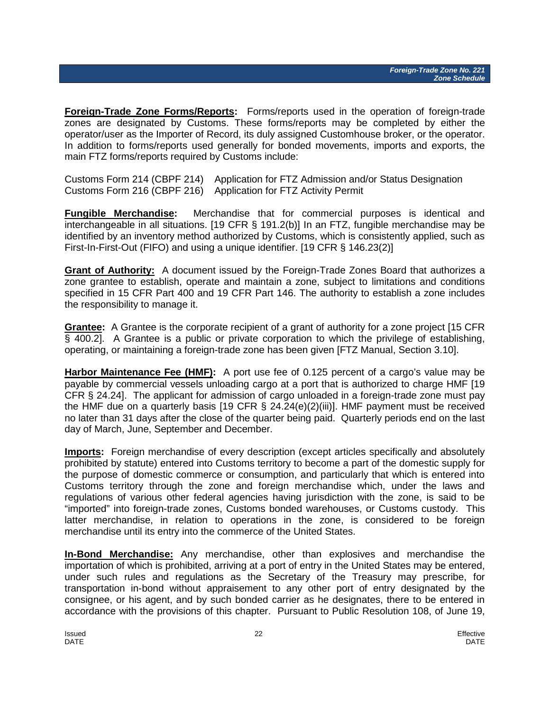**Foreign-Trade Zone Forms/Reports:** Forms/reports used in the operation of foreign-trade zones are designated by Customs. These forms/reports may be completed by either the operator/user as the Importer of Record, its duly assigned Customhouse broker, or the operator. In addition to forms/reports used generally for bonded movements, imports and exports, the main FTZ forms/reports required by Customs include:

Customs Form 214 (CBPF 214) Application for FTZ Admission and/or Status Designation Customs Form 216 (CBPF 216) Application for FTZ Activity Permit

**Fungible Merchandise:** Merchandise that for commercial purposes is identical and interchangeable in all situations. [19 CFR § 191.2(b)] In an FTZ, fungible merchandise may be identified by an inventory method authorized by Customs, which is consistently applied, such as First-In-First-Out (FIFO) and using a unique identifier. [19 CFR § 146.23(2)]

**Grant of Authority:** A document issued by the Foreign-Trade Zones Board that authorizes a zone grantee to establish, operate and maintain a zone, subject to limitations and conditions specified in 15 CFR Part 400 and 19 CFR Part 146. The authority to establish a zone includes the responsibility to manage it.

**Grantee:** A Grantee is the corporate recipient of a grant of authority for a zone project [15 CFR § 400.2]. A Grantee is a public or private corporation to which the privilege of establishing, operating, or maintaining a foreign-trade zone has been given [FTZ Manual, Section 3.10].

**Harbor Maintenance Fee (HMF):** A port use fee of 0.125 percent of a cargo's value may be payable by commercial vessels unloading cargo at a port that is authorized to charge HMF [19 CFR § 24.24]. The applicant for admission of cargo unloaded in a foreign-trade zone must pay the HMF due on a quarterly basis [19 CFR  $\S$  24.24(e)(2)(iii)]. HMF payment must be received no later than 31 days after the close of the quarter being paid. Quarterly periods end on the last day of March, June, September and December.

**Imports:** Foreign merchandise of every description (except articles specifically and absolutely prohibited by statute) entered into Customs territory to become a part of the domestic supply for the purpose of domestic commerce or consumption, and particularly that which is entered into Customs territory through the zone and foreign merchandise which, under the laws and regulations of various other federal agencies having jurisdiction with the zone, is said to be "imported" into foreign-trade zones, Customs bonded warehouses, or Customs custody. This latter merchandise, in relation to operations in the zone, is considered to be foreign merchandise until its entry into the commerce of the United States.

**In-Bond Merchandise:** Any merchandise, other than explosives and merchandise the importation of which is prohibited, arriving at a port of entry in the United States may be entered, under such rules and regulations as the Secretary of the Treasury may prescribe, for transportation in-bond without appraisement to any other port of entry designated by the consignee, or his agent, and by such bonded carrier as he designates, there to be entered in accordance with the provisions of this chapter. Pursuant to Public Resolution 108, of June 19,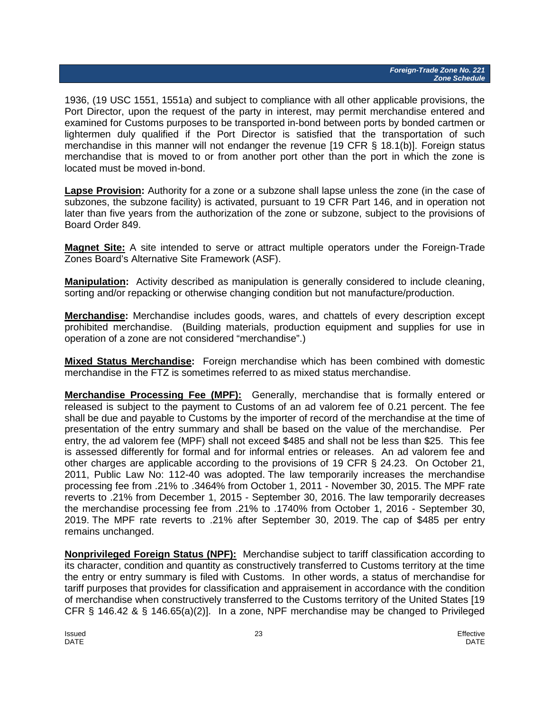1936, (19 USC 1551, 1551a) and subject to compliance with all other applicable provisions, the Port Director, upon the request of the party in interest, may permit merchandise entered and examined for Customs purposes to be transported in-bond between ports by bonded cartmen or lightermen duly qualified if the Port Director is satisfied that the transportation of such merchandise in this manner will not endanger the revenue [19 CFR § 18.1(b)]. Foreign status merchandise that is moved to or from another port other than the port in which the zone is located must be moved in-bond.

**Lapse Provision:** Authority for a zone or a subzone shall lapse unless the zone (in the case of subzones, the subzone facility) is activated, pursuant to 19 CFR Part 146, and in operation not later than five years from the authorization of the zone or subzone, subject to the provisions of Board Order 849.

**Magnet Site:** A site intended to serve or attract multiple operators under the Foreign-Trade Zones Board's Alternative Site Framework (ASF).

**Manipulation:** Activity described as manipulation is generally considered to include cleaning, sorting and/or repacking or otherwise changing condition but not manufacture/production.

**Merchandise:** Merchandise includes goods, wares, and chattels of every description except prohibited merchandise. (Building materials, production equipment and supplies for use in operation of a zone are not considered "merchandise".)

**Mixed Status Merchandise:** Foreign merchandise which has been combined with domestic merchandise in the FTZ is sometimes referred to as mixed status merchandise.

**Merchandise Processing Fee (MPF):** Generally, merchandise that is formally entered or released is subject to the payment to Customs of an ad valorem fee of 0.21 percent. The fee shall be due and payable to Customs by the importer of record of the merchandise at the time of presentation of the entry summary and shall be based on the value of the merchandise. Per entry, the ad valorem fee (MPF) shall not exceed \$485 and shall not be less than \$25. This fee is assessed differently for formal and for informal entries or releases. An ad valorem fee and other charges are applicable according to the provisions of 19 CFR § 24.23. On October 21, 2011, Public Law No: 112-40 was adopted. The law temporarily increases the merchandise processing fee from .21% to .3464% from October 1, 2011 - November 30, 2015. The MPF rate reverts to .21% from December 1, 2015 - September 30, 2016. The law temporarily decreases the merchandise processing fee from .21% to .1740% from October 1, 2016 - September 30, 2019. The MPF rate reverts to .21% after September 30, 2019. The cap of \$485 per entry remains unchanged.

**Nonprivileged Foreign Status (NPF):** Merchandise subject to tariff classification according to its character, condition and quantity as constructively transferred to Customs territory at the time the entry or entry summary is filed with Customs. In other words, a status of merchandise for tariff purposes that provides for classification and appraisement in accordance with the condition of merchandise when constructively transferred to the Customs territory of the United States [19 CFR § 146.42 & § 146.65(a)(2)]. In a zone, NPF merchandise may be changed to Privileged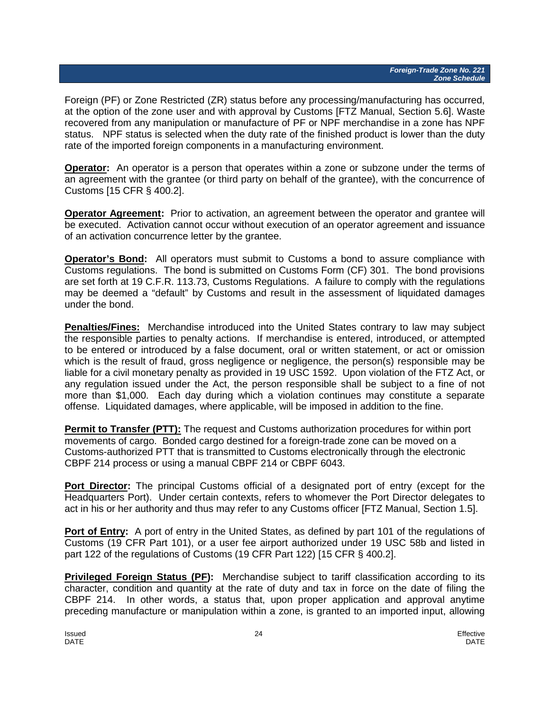Foreign (PF) or Zone Restricted (ZR) status before any processing/manufacturing has occurred, at the option of the zone user and with approval by Customs [FTZ Manual, Section 5.6]. Waste recovered from any manipulation or manufacture of PF or NPF merchandise in a zone has NPF status. NPF status is selected when the duty rate of the finished product is lower than the duty rate of the imported foreign components in a manufacturing environment.

**Operator:** An operator is a person that operates within a zone or subzone under the terms of an agreement with the grantee (or third party on behalf of the grantee), with the concurrence of Customs [15 CFR § 400.2].

**Operator Agreement:** Prior to activation, an agreement between the operator and grantee will be executed. Activation cannot occur without execution of an operator agreement and issuance of an activation concurrence letter by the grantee.

**Operator's Bond:** All operators must submit to Customs a bond to assure compliance with Customs regulations. The bond is submitted on Customs Form (CF) 301. The bond provisions are set forth at 19 C.F.R. 113.73, Customs Regulations. A failure to comply with the regulations may be deemed a "default" by Customs and result in the assessment of liquidated damages under the bond.

**Penalties/Fines:** Merchandise introduced into the United States contrary to law may subject the responsible parties to penalty actions. If merchandise is entered, introduced, or attempted to be entered or introduced by a false document, oral or written statement, or act or omission which is the result of fraud, gross negligence or negligence, the person(s) responsible may be liable for a civil monetary penalty as provided in 19 USC 1592. Upon violation of the FTZ Act, or any regulation issued under the Act, the person responsible shall be subject to a fine of not more than \$1,000. Each day during which a violation continues may constitute a separate offense. Liquidated damages, where applicable, will be imposed in addition to the fine.

**Permit to Transfer (PTT):** The request and Customs authorization procedures for within port movements of cargo. Bonded cargo destined for a foreign-trade zone can be moved on a Customs-authorized PTT that is transmitted to Customs electronically through the electronic CBPF 214 process or using a manual CBPF 214 or CBPF 6043.

**Port Director:** The principal Customs official of a designated port of entry (except for the Headquarters Port). Under certain contexts, refers to whomever the Port Director delegates to act in his or her authority and thus may refer to any Customs officer [FTZ Manual, Section 1.5].

**Port of Entry:** A port of entry in the United States, as defined by part 101 of the regulations of Customs (19 CFR Part 101), or a user fee airport authorized under 19 USC 58b and listed in part 122 of the regulations of Customs (19 CFR Part 122) [15 CFR § 400.2].

**Privileged Foreign Status (PF):** Merchandise subject to tariff classification according to its character, condition and quantity at the rate of duty and tax in force on the date of filing the CBPF 214. In other words, a status that, upon proper application and approval anytime preceding manufacture or manipulation within a zone, is granted to an imported input, allowing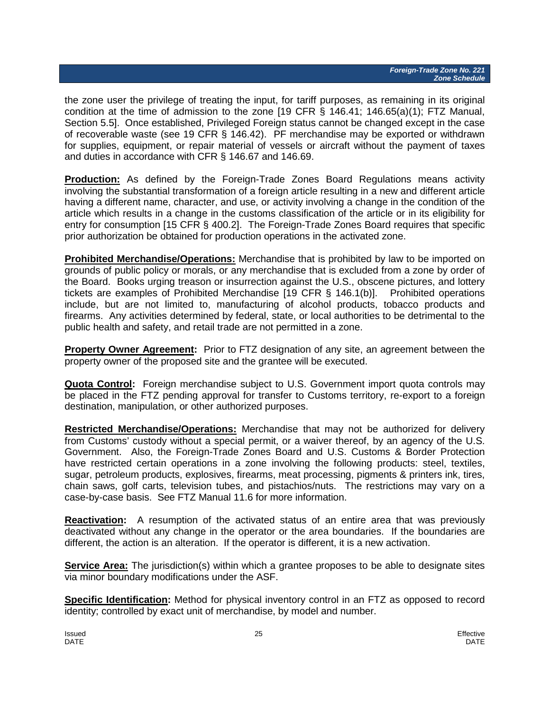the zone user the privilege of treating the input, for tariff purposes, as remaining in its original condition at the time of admission to the zone [19 CFR § 146.41; 146.65(a)(1); FTZ Manual, Section 5.5]. Once established, Privileged Foreign status cannot be changed except in the case of recoverable waste (see 19 CFR § 146.42). PF merchandise may be exported or withdrawn for supplies, equipment, or repair material of vessels or aircraft without the payment of taxes and duties in accordance with CFR § 146.67 and 146.69.

**Production:** As defined by the Foreign-Trade Zones Board Regulations means activity involving the substantial transformation of a foreign article resulting in a new and different article having a different name, character, and use, or activity involving a change in the condition of the article which results in a change in the customs classification of the article or in its eligibility for entry for consumption [15 CFR § 400.2]. The Foreign-Trade Zones Board requires that specific prior authorization be obtained for production operations in the activated zone.

**Prohibited Merchandise/Operations:** Merchandise that is prohibited by law to be imported on grounds of public policy or morals, or any merchandise that is excluded from a zone by order of the Board. Books urging treason or insurrection against the U.S., obscene pictures, and lottery tickets are examples of Prohibited Merchandise [19 CFR § 146.1(b)]. Prohibited operations include, but are not limited to, manufacturing of alcohol products, tobacco products and firearms. Any activities determined by federal, state, or local authorities to be detrimental to the public health and safety, and retail trade are not permitted in a zone.

**Property Owner Agreement:** Prior to FTZ designation of any site, an agreement between the property owner of the proposed site and the grantee will be executed.

**Quota Control:** Foreign merchandise subject to U.S. Government import quota controls may be placed in the FTZ pending approval for transfer to Customs territory, re-export to a foreign destination, manipulation, or other authorized purposes.

**Restricted Merchandise/Operations:** Merchandise that may not be authorized for delivery from Customs' custody without a special permit, or a waiver thereof, by an agency of the U.S. Government. Also, the Foreign-Trade Zones Board and U.S. Customs & Border Protection have restricted certain operations in a zone involving the following products: steel, textiles, sugar, petroleum products, explosives, firearms, meat processing, pigments & printers ink, tires, chain saws, golf carts, television tubes, and pistachios/nuts. The restrictions may vary on a case-by-case basis. See FTZ Manual 11.6 for more information.

**Reactivation:** A resumption of the activated status of an entire area that was previously deactivated without any change in the operator or the area boundaries. If the boundaries are different, the action is an alteration. If the operator is different, it is a new activation.

**Service Area:** The jurisdiction(s) within which a grantee proposes to be able to designate sites via minor boundary modifications under the ASF.

**Specific Identification:** Method for physical inventory control in an FTZ as opposed to record identity; controlled by exact unit of merchandise, by model and number.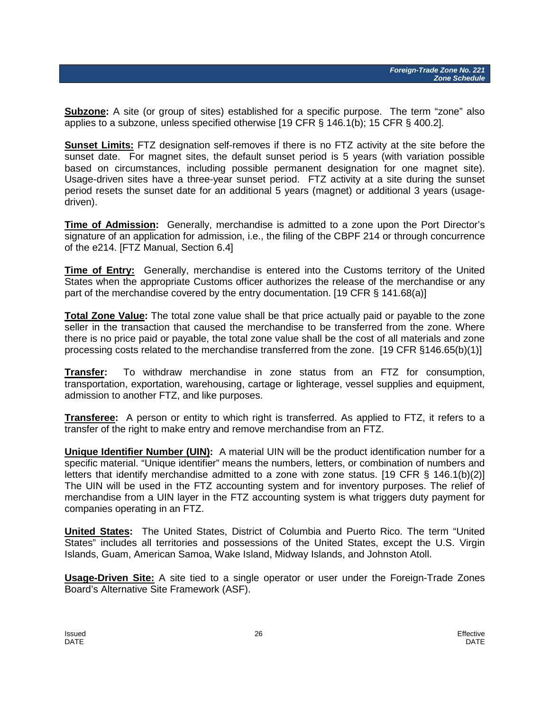**Subzone:** A site (or group of sites) established for a specific purpose. The term "zone" also applies to a subzone, unless specified otherwise [19 CFR § 146.1(b); 15 CFR § 400.2].

**Sunset Limits:** FTZ designation self-removes if there is no FTZ activity at the site before the sunset date. For magnet sites, the default sunset period is 5 years (with variation possible based on circumstances, including possible permanent designation for one magnet site). Usage-driven sites have a three-year sunset period. FTZ activity at a site during the sunset period resets the sunset date for an additional 5 years (magnet) or additional 3 years (usagedriven).

**Time of Admission:** Generally, merchandise is admitted to a zone upon the Port Director's signature of an application for admission, i.e., the filing of the CBPF 214 or through concurrence of the e214. [FTZ Manual, Section 6.4]

**Time of Entry:** Generally, merchandise is entered into the Customs territory of the United States when the appropriate Customs officer authorizes the release of the merchandise or any part of the merchandise covered by the entry documentation. [19 CFR § 141.68(a)]

**Total Zone Value:** The total zone value shall be that price actually paid or payable to the zone seller in the transaction that caused the merchandise to be transferred from the zone. Where there is no price paid or payable, the total zone value shall be the cost of all materials and zone processing costs related to the merchandise transferred from the zone. [19 CFR §146.65(b)(1)]

**Transfer:** To withdraw merchandise in zone status from an FTZ for consumption, transportation, exportation, warehousing, cartage or lighterage, vessel supplies and equipment, admission to another FTZ, and like purposes.

**Transferee:** A person or entity to which right is transferred. As applied to FTZ, it refers to a transfer of the right to make entry and remove merchandise from an FTZ.

**Unique Identifier Number (UIN):** A material UIN will be the product identification number for a specific material. "Unique identifier" means the numbers, letters, or combination of numbers and letters that identify merchandise admitted to a zone with zone status. [19 CFR § 146.1(b)(2)] The UIN will be used in the FTZ accounting system and for inventory purposes. The relief of merchandise from a UIN layer in the FTZ accounting system is what triggers duty payment for companies operating in an FTZ.

**United States:** The United States, District of Columbia and Puerto Rico. The term "United States" includes all territories and possessions of the United States, except the U.S. Virgin Islands, Guam, American Samoa, Wake Island, Midway Islands, and Johnston Atoll.

**Usage-Driven Site:** A site tied to a single operator or user under the Foreign-Trade Zones Board's Alternative Site Framework (ASF).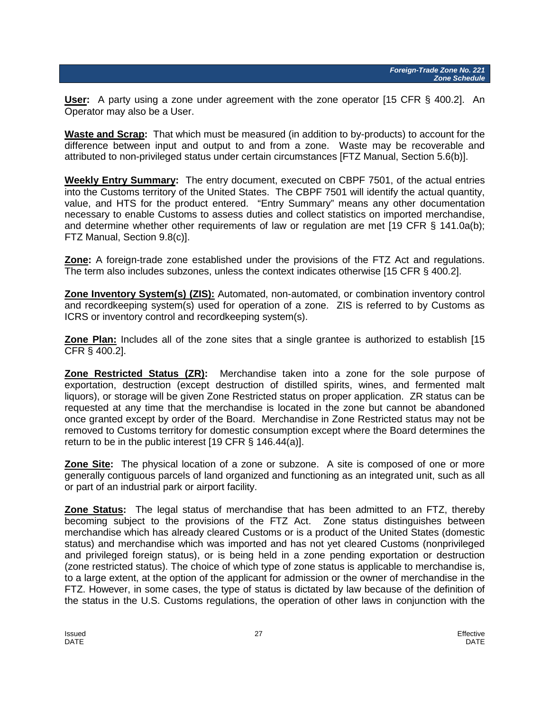**User:** A party using a zone under agreement with the zone operator [15 CFR § 400.2]. An Operator may also be a User.

**Waste and Scrap:** That which must be measured (in addition to by-products) to account for the difference between input and output to and from a zone. Waste may be recoverable and attributed to non-privileged status under certain circumstances [FTZ Manual, Section 5.6(b)].

**Weekly Entry Summary:** The entry document, executed on CBPF 7501, of the actual entries into the Customs territory of the United States. The CBPF 7501 will identify the actual quantity, value, and HTS for the product entered. "Entry Summary" means any other documentation necessary to enable Customs to assess duties and collect statistics on imported merchandise, and determine whether other requirements of law or regulation are met [19 CFR § 141.0a(b); FTZ Manual, Section 9.8(c)].

**Zone:** A foreign-trade zone established under the provisions of the FTZ Act and regulations. The term also includes subzones, unless the context indicates otherwise [15 CFR § 400.2].

**Zone Inventory System(s) (ZIS):** Automated, non-automated, or combination inventory control and recordkeeping system(s) used for operation of a zone. ZIS is referred to by Customs as ICRS or inventory control and recordkeeping system(s).

**Zone Plan:** Includes all of the zone sites that a single grantee is authorized to establish [15 CFR § 400.2].

**Zone Restricted Status (ZR):** Merchandise taken into a zone for the sole purpose of exportation, destruction (except destruction of distilled spirits, wines, and fermented malt liquors), or storage will be given Zone Restricted status on proper application. ZR status can be requested at any time that the merchandise is located in the zone but cannot be abandoned once granted except by order of the Board. Merchandise in Zone Restricted status may not be removed to Customs territory for domestic consumption except where the Board determines the return to be in the public interest [19 CFR § 146.44(a)].

**Zone Site:** The physical location of a zone or subzone. A site is composed of one or more generally contiguous parcels of land organized and functioning as an integrated unit, such as all or part of an industrial park or airport facility.

**Zone Status:** The legal status of merchandise that has been admitted to an FTZ, thereby becoming subject to the provisions of the FTZ Act. Zone status distinguishes between merchandise which has already cleared Customs or is a product of the United States (domestic status) and merchandise which was imported and has not yet cleared Customs (nonprivileged and privileged foreign status), or is being held in a zone pending exportation or destruction (zone restricted status). The choice of which type of zone status is applicable to merchandise is, to a large extent, at the option of the applicant for admission or the owner of merchandise in the FTZ. However, in some cases, the type of status is dictated by law because of the definition of the status in the U.S. Customs regulations, the operation of other laws in conjunction with the